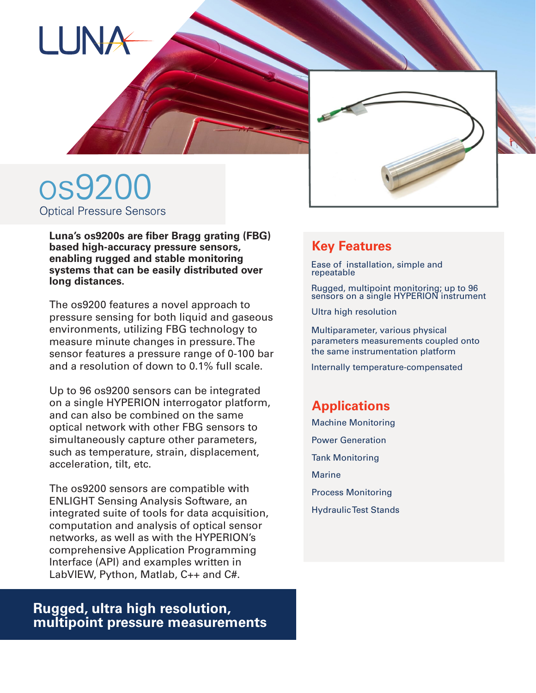



# os9200 Optical Pressure Sensors

**Luna's os9200s are fiber Bragg grating (FBG) based high-accuracy pressure sensors, enabling rugged and stable monitoring systems that can be easily distributed over long distances.**

The os9200 features a novel approach to pressure sensing for both liquid and gaseous environments, utilizing FBG technology to measure minute changes in pressure. The sensor features a pressure range of 0-100 bar and a resolution of down to 0.1% full scale.

Up to 96 os9200 sensors can be integrated on a single HYPERION interrogator platform, and can also be combined on the same optical network with other FBG sensors to simultaneously capture other parameters, such as temperature, strain, displacement, acceleration, tilt, etc.

The os9200 sensors are compatible with ENLIGHT Sensing Analysis Software, an integrated suite of tools for data acquisition, computation and analysis of optical sensor networks, as well as with the HYPERION's comprehensive Application Programming Interface (API) and examples written in LabVIEW, Python, Matlab, C++ and C#.

## **Rugged, ultra high resolution, multipoint pressure measurements**

## **Key Features**

Ease of installation, simple and repeatable

Rugged, multipoint monitoring; up to 96 sensors on a single HYPERION instrument

Ultra high resolution

Multiparameter, various physical parameters measurements coupled onto the same instrumentation platform

Internally temperature-compensated

### **Applications**

- Machine Monitoring
- Power Generation
- Tank Monitoring
- **Marine**
- Process Monitoring
- Hydraulic Test Stands